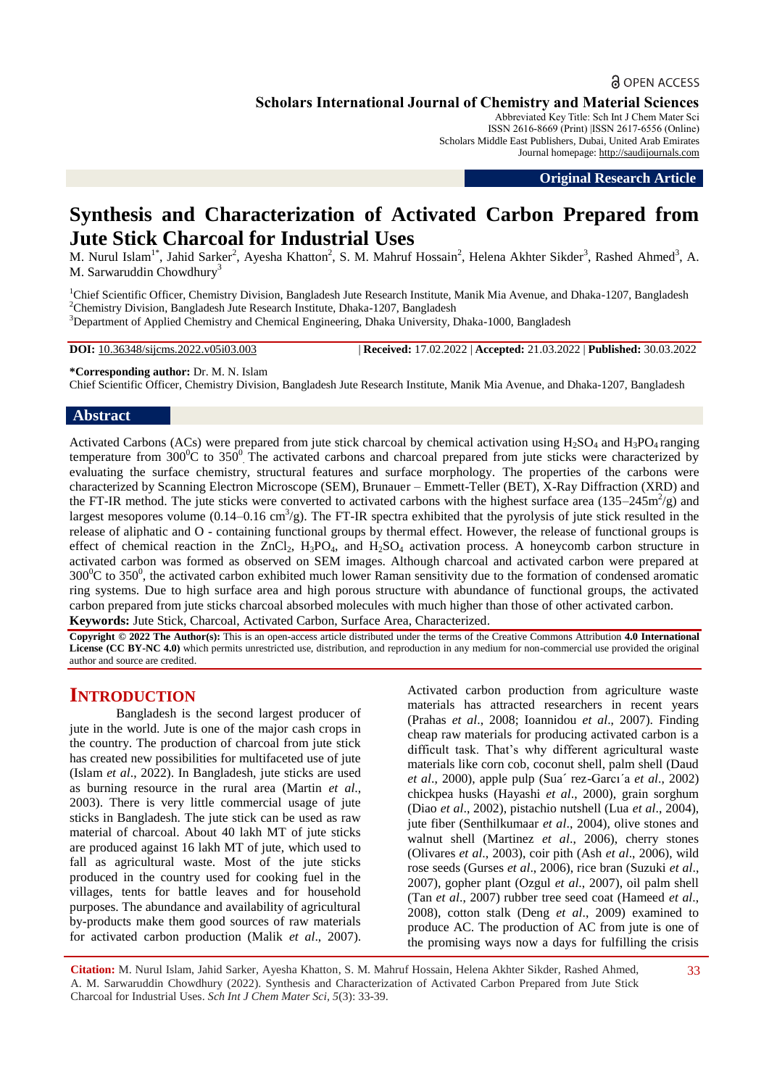## **a** OPEN ACCESS

**Scholars International Journal of Chemistry and Material Sciences**

Abbreviated Key Title: Sch Int J Chem Mater Sci ISSN 2616-8669 (Print) |ISSN 2617-6556 (Online) Scholars Middle East Publishers, Dubai, United Arab Emirates Journal homepage: [http://saudijournals.com](http://saudijournals.com/sijcms/)

**Original Research Article**

# **Synthesis and Characterization of Activated Carbon Prepared from Jute Stick Charcoal for Industrial Uses**

M. Nurul Islam<sup>1\*</sup>, Jahid Sarker<sup>2</sup>, Ayesha Khatton<sup>2</sup>, S. M. Mahruf Hossain<sup>2</sup>, Helena Akhter Sikder<sup>3</sup>, Rashed Ahmed<sup>3</sup>, A. M. Sarwaruddin Chowdhury<sup>3</sup>

<sup>1</sup>Chief Scientific Officer, Chemistry Division, Bangladesh Jute Research Institute, Manik Mia Avenue, and Dhaka-1207, Bangladesh <sup>2</sup>Chemistry Division, Bangladesh Jute Research Institute, Dhaka-1207, Bangladesh <sup>3</sup>Department of Applied Chemistry and Chemical Engineering, Dhaka University, Dhaka-1000, Bangladesh

**DOI:** 10.36348/sijcms.2022.v05i03.003 | **Received:** 17.02.2022 | **Accepted:** 21.03.2022 | **Published:** 30.03.2022

**\*Corresponding author:** Dr. M. N. Islam

Chief Scientific Officer, Chemistry Division, Bangladesh Jute Research Institute, Manik Mia Avenue, and Dhaka-1207, Bangladesh

## **Abstract**

Activated Carbons (ACs) were prepared from jute stick charcoal by chemical activation using  $H_2SO_4$  and  $H_3PO_4$  ranging temperature from  $300^0C$  to  $350^0$ . The activated carbons and charcoal prepared from jute sticks were characterized by evaluating the surface chemistry, structural features and surface morphology. The properties of the carbons were characterized by Scanning Electron Microscope (SEM), Brunauer – Emmett-Teller (BET), X-Ray Diffraction (XRD) and the FT-IR method. The jute sticks were converted to activated carbons with the highest surface area  $(135-245m^2/g)$  and largest mesopores volume  $(0.14-0.16 \text{ cm}^3/\text{g})$ . The FT-IR spectra exhibited that the pyrolysis of jute stick resulted in the release of aliphatic and O - containing functional groups by thermal effect. However, the release of functional groups is effect of chemical reaction in the  $ZnCl_2$ ,  $H_3PO_4$ , and  $H_2SO_4$  activation process. A honeycomb carbon structure in activated carbon was formed as observed on SEM images. Although charcoal and activated carbon were prepared at  $300^0C$  to  $350^0$ , the activated carbon exhibited much lower Raman sensitivity due to the formation of condensed aromatic ring systems. Due to high surface area and high porous structure with abundance of functional groups, the activated carbon prepared from jute sticks charcoal absorbed molecules with much higher than those of other activated carbon. **Keywords:** Jute Stick, Charcoal, Activated Carbon, Surface Area, Characterized.

**Copyright © 2022 The Author(s):** This is an open-access article distributed under the terms of the Creative Commons Attribution **4.0 International License (CC BY-NC 4.0)** which permits unrestricted use, distribution, and reproduction in any medium for non-commercial use provided the original author and source are credited.

## **INTRODUCTION**

Bangladesh is the second largest producer of jute in the world. Jute is one of the major cash crops in the country. The production of charcoal from jute stick has created new possibilities for multifaceted use of jute (Islam *et al*., 2022). In Bangladesh, jute sticks are used as burning resource in the rural area (Martin *et al*., 2003). There is very little commercial usage of jute sticks in Bangladesh. The jute stick can be used as raw material of charcoal. About 40 lakh MT of jute sticks are produced against 16 lakh MT of jute, which used to fall as agricultural waste. Most of the jute sticks produced in the country used for cooking fuel in the villages, tents for battle leaves and for household purposes. The abundance and availability of agricultural by-products make them good sources of raw materials for activated carbon production (Malik *et al*., 2007).

Activated carbon production from agriculture waste materials has attracted researchers in recent years (Prahas *et al*., 2008; Ioannidou *et al*., 2007). Finding cheap raw materials for producing activated carbon is a difficult task. That's why different agricultural waste materials like corn cob, coconut shell, palm shell (Daud *et al*., 2000), apple pulp (Sua´ rez-Garcı´a *et al*., 2002) chickpea husks (Hayashi *et al*., 2000), grain sorghum (Diao *et al*., 2002), pistachio nutshell (Lua *et al*., 2004), jute fiber (Senthilkumaar *et al*., 2004), olive stones and walnut shell (Martinez *et al*., 2006), cherry stones (Olivares *et al*., 2003), coir pith (Ash *et al*., 2006), wild rose seeds (Gurses *et al*., 2006), rice bran (Suzuki *et al*., 2007), gopher plant (Ozgul *et al*., 2007), oil palm shell (Tan *et al*., 2007) rubber tree seed coat (Hameed *et al*., 2008), cotton stalk (Deng *et al*., 2009) examined to produce AC. The production of AC from jute is one of the promising ways now a days for fulfilling the crisis

**Citation:** M. Nurul Islam, Jahid Sarker, Ayesha Khatton, S. M. Mahruf Hossain, Helena Akhter Sikder, Rashed Ahmed, A. M. Sarwaruddin Chowdhury (2022). Synthesis and Characterization of Activated Carbon Prepared from Jute Stick Charcoal for Industrial Uses. *Sch Int J Chem Mater Sci, 5*(3): 33-39.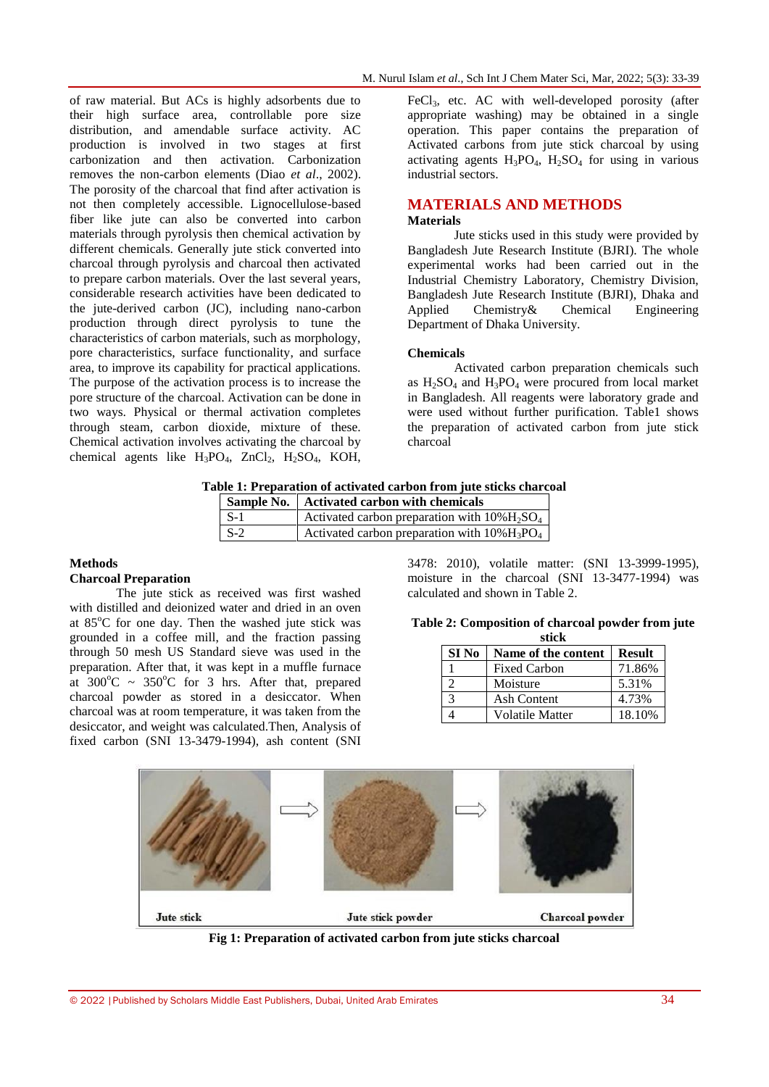of raw material. But ACs is highly adsorbents due to their high surface area, controllable pore size distribution, and amendable surface activity. AC production is involved in two stages at first carbonization and then activation. Carbonization removes the non-carbon elements (Diao *et al*., 2002). The porosity of the charcoal that find after activation is not then completely accessible. Lignocellulose-based fiber like jute can also be converted into carbon materials through pyrolysis then chemical activation by different chemicals. Generally jute stick converted into charcoal through pyrolysis and charcoal then activated to prepare carbon materials. Over the last several years, considerable research activities have been dedicated to the jute-derived carbon (JC), including nano-carbon production through direct pyrolysis to tune the characteristics of carbon materials, such as morphology, pore characteristics, surface functionality, and surface area, to improve its capability for practical applications. The purpose of the activation process is to increase the pore structure of the charcoal. Activation can be done in two ways. Physical or thermal activation completes through steam, carbon dioxide, mixture of these. Chemical activation involves activating the charcoal by chemical agents like  $H_3PO_4$ ,  $ZnCl_2$ ,  $H_2SO_4$ , KOH,

 $FeCl<sub>3</sub>$ , etc. AC with well-developed porosity (after appropriate washing) may be obtained in a single operation. This paper contains the preparation of Activated carbons from jute stick charcoal by using activating agents  $H_3PO_4$ ,  $H_2SO_4$  for using in various industrial sectors.

## **MATERIALS AND METHODS**

## **Materials**

Jute sticks used in this study were provided by Bangladesh Jute Research Institute (BJRI). The whole experimental works had been carried out in the Industrial Chemistry Laboratory, Chemistry Division, Bangladesh Jute Research Institute (BJRI), Dhaka and Applied Chemistry& Chemical Engineering Department of Dhaka University.

#### **Chemicals**

Activated carbon preparation chemicals such as  $H_2SO_4$  and  $H_3PO_4$  were procured from local market in Bangladesh. All reagents were laboratory grade and were used without further purification. Table1 shows the preparation of activated carbon from jute stick charcoal

#### **Table 1: Preparation of activated carbon from jute sticks charcoal**

|                         | Sample No.   Activated carbon with chemicals                            |
|-------------------------|-------------------------------------------------------------------------|
| $\mathsf{S}\mathsf{-}1$ | Activated carbon preparation with $10\%$ $H_2$ SO <sub>4</sub>          |
| $\mathsf{S}\text{-}2$   | Activated carbon preparation with $10\%$ H <sub>3</sub> PO <sub>4</sub> |

## **Methods Charcoal Preparation**

The jute stick as received was first washed with distilled and deionized water and dried in an oven at  $85^{\circ}$ C for one day. Then the washed jute stick was grounded in a coffee mill, and the fraction passing through 50 mesh US Standard sieve was used in the preparation. After that, it was kept in a muffle furnace at  $300^{\circ}$ C ~  $350^{\circ}$ C for 3 hrs. After that, prepared charcoal powder as stored in a desiccator. When charcoal was at room temperature, it was taken from the desiccator, and weight was calculated.Then, Analysis of fixed carbon (SNI 13-3479-1994), ash content (SNI

3478: 2010), volatile matter: (SNI 13-3999-1995), moisture in the charcoal (SNI 13-3477-1994) was calculated and shown in Table 2.

| Table 2: Composition of charcoal powder from jute |       |  |  |
|---------------------------------------------------|-------|--|--|
|                                                   | stick |  |  |

| SI No | Name of the content | <b>Result</b> |
|-------|---------------------|---------------|
|       | <b>Fixed Carbon</b> | 71.86%        |
|       | Moisture            | 5.31%         |
| 3     | Ash Content         | 4.73%         |
|       | Volatile Matter     | 18.10%        |



**Fig 1: Preparation of activated carbon from jute sticks charcoal**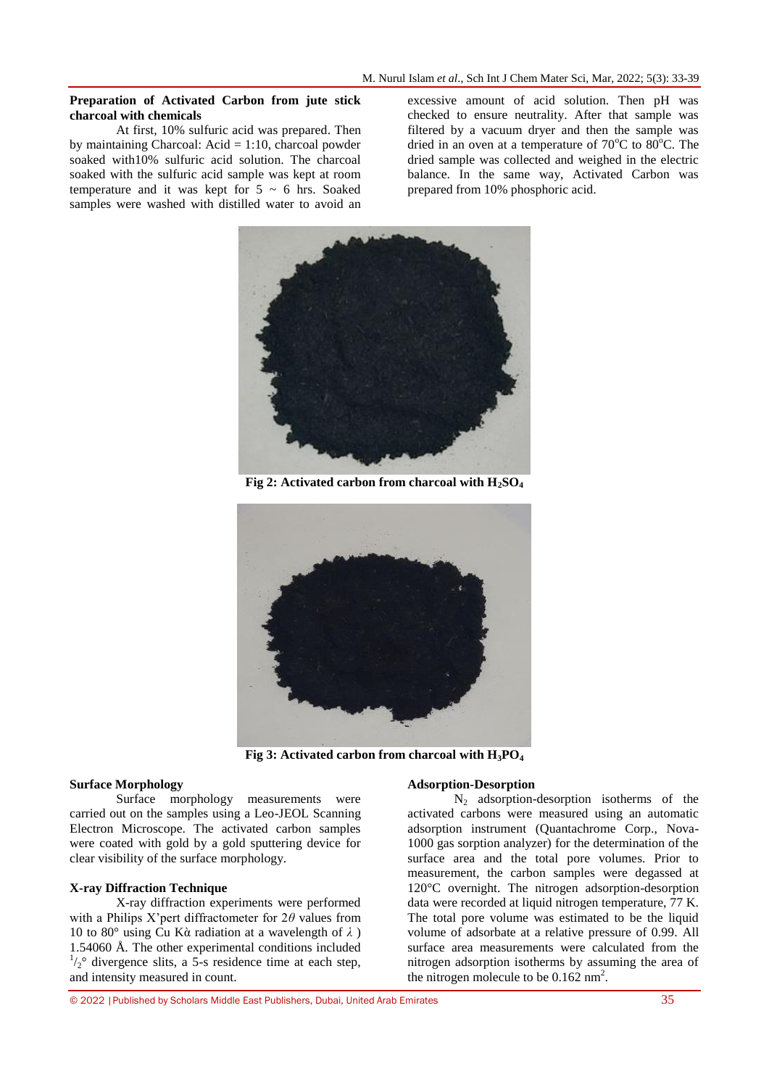### **Preparation of Activated Carbon from jute stick charcoal with chemicals**

At first, 10% sulfuric acid was prepared. Then by maintaining Charcoal:  $Acid = 1:10$ , charcoal powder soaked with10% sulfuric acid solution. The charcoal soaked with the sulfuric acid sample was kept at room temperature and it was kept for  $5 \sim 6$  hrs. Soaked samples were washed with distilled water to avoid an

excessive amount of acid solution. Then pH was checked to ensure neutrality. After that sample was filtered by a vacuum dryer and then the sample was dried in an oven at a temperature of  $70^{\circ}$ C to  $80^{\circ}$ C. The dried sample was collected and weighed in the electric balance. In the same way, Activated Carbon was prepared from 10% phosphoric acid.



**Fig 2: Activated carbon from charcoal with H2SO<sup>4</sup>**



**Fig 3: Activated carbon from charcoal with H3PO<sup>4</sup>**

#### **Surface Morphology**

Surface morphology measurements were carried out on the samples using a Leo-JEOL Scanning Electron Microscope. The activated carbon samples were coated with gold by a gold sputtering device for clear visibility of the surface morphology.

## **X-ray Diffraction Technique**

X-ray diffraction experiments were performed with a Philips X'pert diffractometer for 2*θ* values from 10 to 80° using Cu Kὰ radiation at a wavelength of *λ* ) 1.54060 Å. The other experimental conditions included  $\frac{1}{2}$ <sup>o</sup> divergence slits, a 5-s residence time at each step, and intensity measured in count.

## **Adsorption-Desorption**

 $N<sub>2</sub>$  adsorption-desorption isotherms of the activated carbons were measured using an automatic adsorption instrument (Quantachrome Corp., Nova-1000 gas sorption analyzer) for the determination of the surface area and the total pore volumes. Prior to measurement, the carbon samples were degassed at 120°C overnight. The nitrogen adsorption-desorption data were recorded at liquid nitrogen temperature, 77 K. The total pore volume was estimated to be the liquid volume of adsorbate at a relative pressure of 0.99. All surface area measurements were calculated from the nitrogen adsorption isotherms by assuming the area of the nitrogen molecule to be  $0.162 \text{ nm}^2$ .

© 2022 |Published by Scholars Middle East Publishers, Dubai, United Arab Emirates 35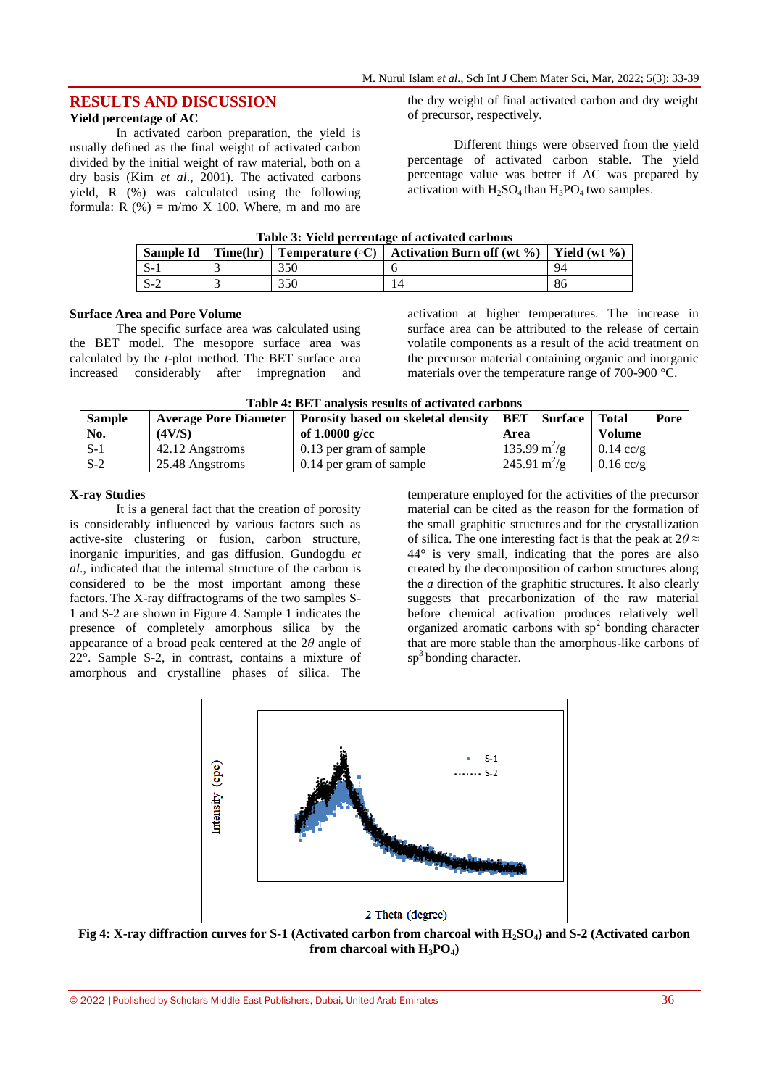## **RESULTS AND DISCUSSION**

## **Yield percentage of AC**

In activated carbon preparation, the yield is usually defined as the final weight of activated carbon divided by the initial weight of raw material, both on a dry basis (Kim *et al*., 2001). The activated carbons yield, R (%) was calculated using the following formula:  $R(\%) = m/mo X 100$ . Where, m and mo are the dry weight of final activated carbon and dry weight of precursor, respectively.

Different things were observed from the yield percentage of activated carbon stable. The yield percentage value was better if AC was prepared by activation with  $H_2SO_4$  than  $H_3PO_4$  two samples.

| Table 3: Yield percentage of activated carbons |  |  |  |  |  |  |
|------------------------------------------------|--|--|--|--|--|--|
|------------------------------------------------|--|--|--|--|--|--|

| <b>Sample Id</b> | Time(hr) |     | Temperature (°C)   Activation Burn off (wt %)   Yield (wt %) |  |
|------------------|----------|-----|--------------------------------------------------------------|--|
|                  |          | 350 |                                                              |  |
|                  |          | 350 |                                                              |  |

#### **Surface Area and Pore Volume**

The specific surface area was calculated using the BET model. The mesopore surface area was calculated by the *t*-plot method. The BET surface area increased considerably after impregnation and activation at higher temperatures. The increase in surface area can be attributed to the release of certain volatile components as a result of the acid treatment on the precursor material containing organic and inorganic materials over the temperature range of 700-900 °C.

**Table 4: BET analysis results of activated carbons**

| <b>Sample</b><br>No. | (4V/S)          | Average Pore Diameter   Porosity based on skeletal density   BET<br>of $1.0000$ g/cc | <b>Surface</b>  <br>Area      | <b>Pore</b><br>Total<br><b>Volume</b> |
|----------------------|-----------------|--------------------------------------------------------------------------------------|-------------------------------|---------------------------------------|
| $S-1$                | 42.12 Angstroms | 0.13 per gram of sample                                                              | $135.99 \text{ m}^2/\text{g}$ | $0.14$ cc/g                           |
| $S-2$                | 25.48 Angstroms | 0.14 per gram of sample                                                              | $245.91 \text{ m}^2/\text{g}$ | $0.16$ cc/g                           |

#### **X-ray Studies**

It is a general fact that the creation of porosity is considerably influenced by various factors such as active-site clustering or fusion, carbon structure, inorganic impurities, and gas diffusion. Gundogdu *et al*., indicated that the internal structure of the carbon is considered to be the most important among these factors. The X-ray diffractograms of the two samples S-1 and S-2 are shown in Figure 4. Sample 1 indicates the presence of completely amorphous silica by the appearance of a broad peak centered at the 2*θ* angle of 22°. Sample S-2, in contrast, contains a mixture of amorphous and crystalline phases of silica. The

temperature employed for the activities of the precursor material can be cited as the reason for the formation of the small graphitic structures and for the crystallization of silica. The one interesting fact is that the peak at 2*θ* ≈ 44° is very small, indicating that the pores are also created by the decomposition of carbon structures along the *a* direction of the graphitic structures. It also clearly suggests that precarbonization of the raw material before chemical activation produces relatively well organized aromatic carbons with  $sp<sup>2</sup>$  bonding character that are more stable than the amorphous-like carbons of sp<sup>3</sup> bonding character.



**Fig 4: X-ray diffraction curves for S-1 (Activated carbon from charcoal with H2SO4) and S-2 (Activated carbon from charcoal with**  $H_3PO_4$ **)**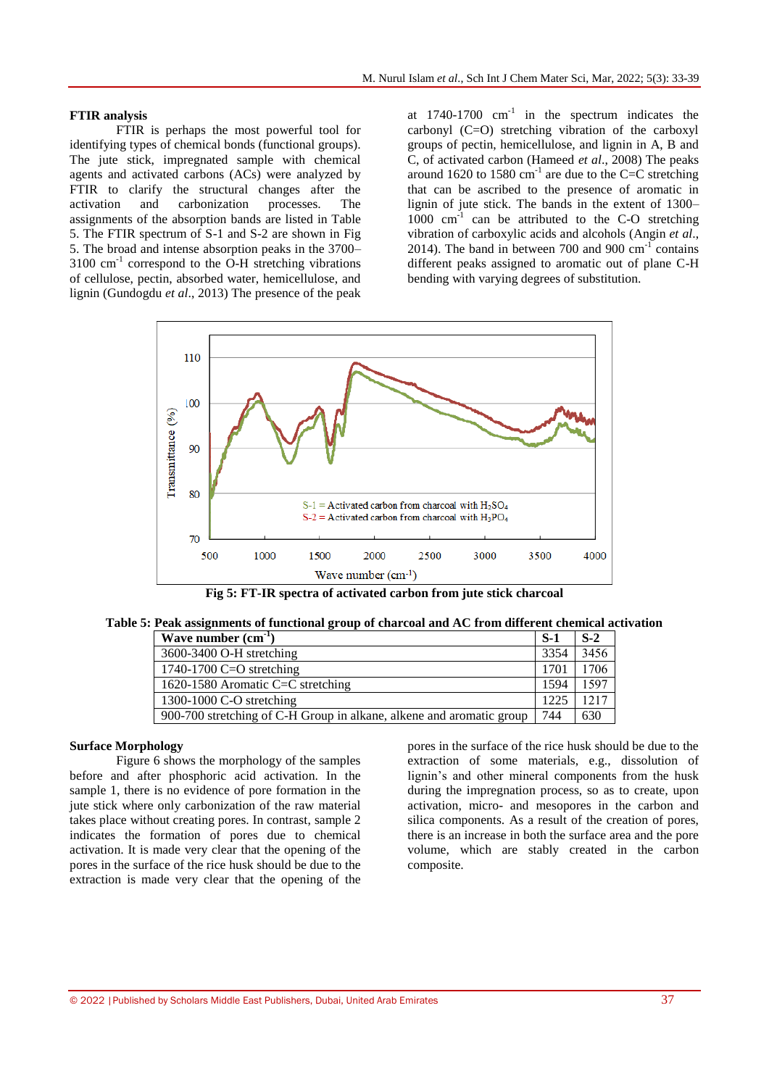### **FTIR analysis**

FTIR is perhaps the most powerful tool for identifying types of chemical bonds (functional groups). The jute stick, impregnated sample with chemical agents and activated carbons (ACs) were analyzed by FTIR to clarify the structural changes after the activation and carbonization processes. The assignments of the absorption bands are listed in Table 5. The FTIR spectrum of S-1 and S-2 are shown in Fig 5. The broad and intense absorption peaks in the 3700–  $3100 \text{ cm}^{-1}$  correspond to the O-H stretching vibrations of cellulose, pectin, absorbed water, hemicellulose, and lignin (Gundogdu *et al*., 2013) The presence of the peak

at  $1740-1700$  cm<sup>-1</sup> in the spectrum indicates the carbonyl (C=O) stretching vibration of the carboxyl groups of pectin, hemicellulose, and lignin in A, B and C, of activated carbon (Hameed *et al*., 2008) The peaks around 1620 to 1580  $\text{cm}^{-1}$  are due to the C=C stretching that can be ascribed to the presence of aromatic in lignin of jute stick. The bands in the extent of 1300– 1000 cm<sup>-1</sup> can be attributed to the C-O stretching vibration of carboxylic acids and alcohols (Angin *et al*., 2014). The band in between 700 and 900  $\text{cm}^{-1}$  contains different peaks assigned to aromatic out of plane C-H bending with varying degrees of substitution.



**Fig 5: FT-IR spectra of activated carbon from jute stick charcoal**

| Table 5: Peak assignments of functional group of charcoal and ${\rm AC}$ from different chemical activation |  |  |  |
|-------------------------------------------------------------------------------------------------------------|--|--|--|
|                                                                                                             |  |  |  |

| Wave number $(cm-1)$                                                 | $S-1$ | $S-2$ |
|----------------------------------------------------------------------|-------|-------|
| 3600-3400 O-H stretching                                             |       | 3456  |
| 1740-1700 C=O stretching                                             |       | 1706  |
| 1620-1580 Aromatic C=C stretching                                    |       | 1597  |
| 1300-1000 C-O stretching                                             |       | 1217  |
| 900-700 stretching of C-H Group in alkane, alkene and aromatic group | 744   | 630   |

### **Surface Morphology**

Figure 6 shows the morphology of the samples before and after phosphoric acid activation. In the sample 1, there is no evidence of pore formation in the jute stick where only carbonization of the raw material takes place without creating pores. In contrast, sample 2 indicates the formation of pores due to chemical activation. It is made very clear that the opening of the pores in the surface of the rice husk should be due to the extraction is made very clear that the opening of the

pores in the surface of the rice husk should be due to the extraction of some materials, e.g., dissolution of lignin's and other mineral components from the husk during the impregnation process, so as to create, upon activation, micro- and mesopores in the carbon and silica components. As a result of the creation of pores, there is an increase in both the surface area and the pore volume, which are stably created in the carbon composite.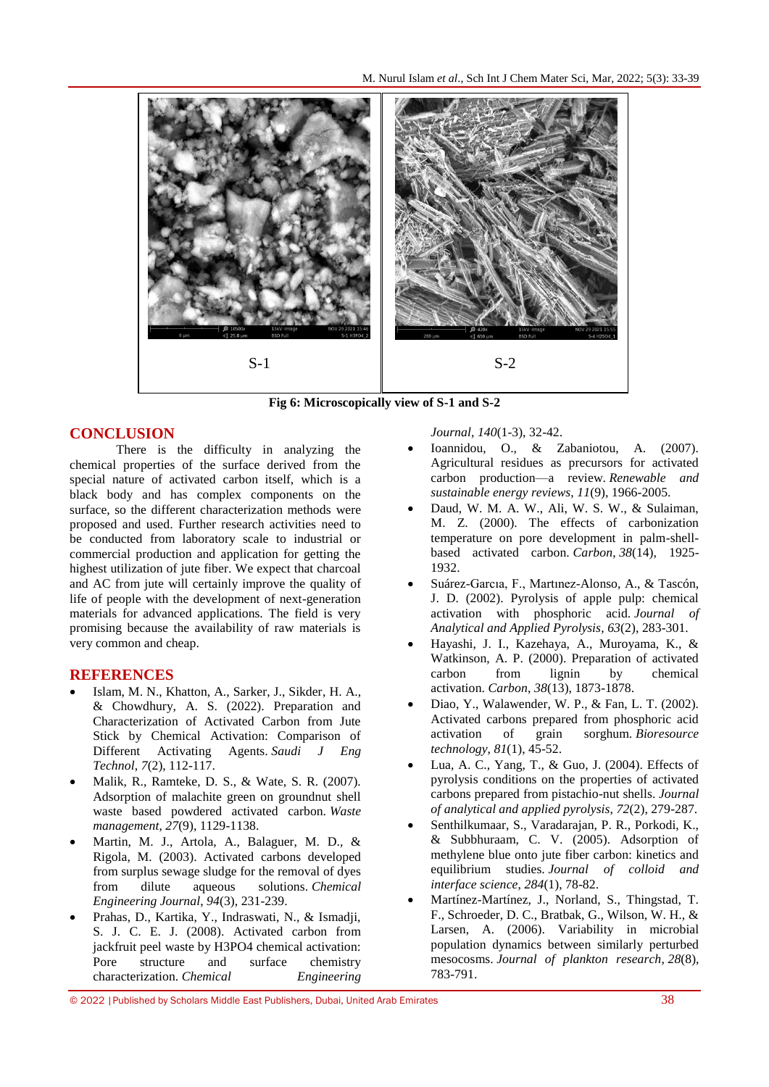

**Fig 6: Microscopically view of S-1 and S-2**

## **CONCLUSION**

There is the difficulty in analyzing the chemical properties of the surface derived from the special nature of activated carbon itself, which is a black body and has complex components on the surface, so the different characterization methods were proposed and used. Further research activities need to be conducted from laboratory scale to industrial or commercial production and application for getting the highest utilization of jute fiber. We expect that charcoal and AC from jute will certainly improve the quality of life of people with the development of next-generation materials for advanced applications. The field is very promising because the availability of raw materials is very common and cheap.

## **REFERENCES**

- Islam, M. N., Khatton, A., Sarker, J., Sikder, H. A., & Chowdhury, A. S. (2022). Preparation and Characterization of Activated Carbon from Jute Stick by Chemical Activation: Comparison of Different Activating Agents. *Saudi J Eng Technol*, *7*(2), 112-117.
- Malik, R., Ramteke, D. S., & Wate, S. R. (2007). Adsorption of malachite green on groundnut shell waste based powdered activated carbon. *Waste management*, *27*(9), 1129-1138.
- Martin, M. J., Artola, A., Balaguer, M. D., & Rigola, M. (2003). Activated carbons developed from surplus sewage sludge for the removal of dyes from dilute aqueous solutions. *Chemical Engineering Journal*, *94*(3), 231-239.
- Prahas, D., Kartika, Y., Indraswati, N., & Ismadji, S. J. C. E. J. (2008). Activated carbon from jackfruit peel waste by H3PO4 chemical activation: Pore structure and surface chemistry characterization. *Chemical Engineering*

*Journal*, *140*(1-3), 32-42.

- Ioannidou, O., & Zabaniotou, A. (2007). Agricultural residues as precursors for activated carbon production—a review. *Renewable and sustainable energy reviews*, *11*(9), 1966-2005.
- Daud, W. M. A. W., Ali, W. S. W., & Sulaiman, M. Z. (2000). The effects of carbonization temperature on pore development in palm-shellbased activated carbon. *Carbon*, *38*(14), 1925- 1932.
- Suárez-Garcıa, F., Martınez-Alonso, A., & Tascón, J. D. (2002). Pyrolysis of apple pulp: chemical activation with phosphoric acid. *Journal of Analytical and Applied Pyrolysis*, *63*(2), 283-301.
- Hayashi, J. I., Kazehaya, A., Muroyama, K., & Watkinson, A. P. (2000). Preparation of activated carbon from lignin by chemical activation. *Carbon*, *38*(13), 1873-1878.
- Diao, Y., Walawender, W. P., & Fan, L. T. (2002). Activated carbons prepared from phosphoric acid activation of grain sorghum. *Bioresource technology*, *81*(1), 45-52.
- Lua, A. C., Yang, T., & Guo, J. (2004). Effects of pyrolysis conditions on the properties of activated carbons prepared from pistachio-nut shells. *Journal of analytical and applied pyrolysis*, *72*(2), 279-287.
- Senthilkumaar, S., Varadarajan, P. R., Porkodi, K., & Subbhuraam, C. V. (2005). Adsorption of methylene blue onto jute fiber carbon: kinetics and equilibrium studies. *Journal of colloid and interface science*, *284*(1), 78-82.
- Martínez-Martínez, J., Norland, S., Thingstad, T. F., Schroeder, D. C., Bratbak, G., Wilson, W. H., & Larsen, A. (2006). Variability in microbial population dynamics between similarly perturbed mesocosms. *Journal of plankton research*, *28*(8), 783-791.

© 2022 |Published by Scholars Middle East Publishers, Dubai, United Arab Emirates 38